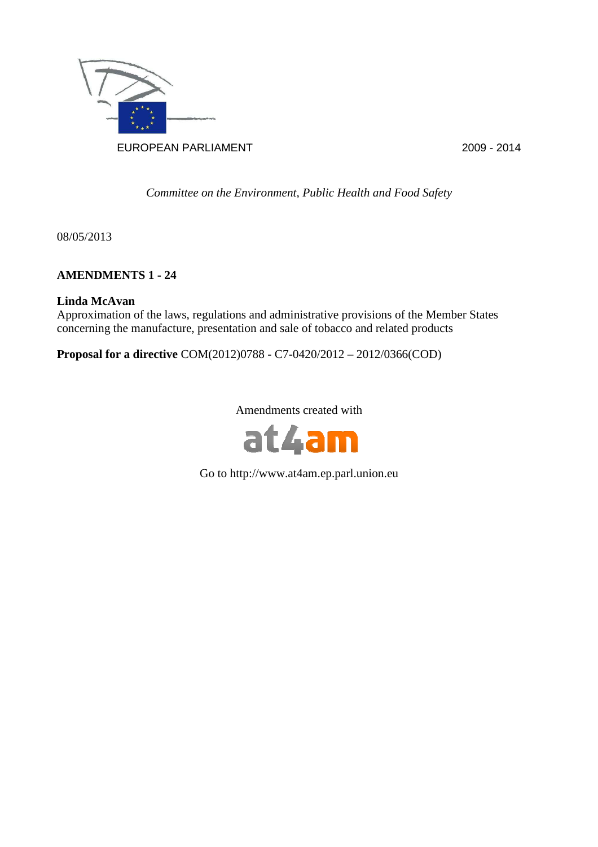

*Committee on the Environment, Public Health and Food Safety* 

08/05/2013

# **AMENDMENTS 1 - 24**

# **Linda McAvan**

Approximation of the laws, regulations and administrative provisions of the Member States concerning the manufacture, presentation and sale of tobacco and related products

**Proposal for a directive** COM(2012)0788 - C7-0420/2012 – 2012/0366(COD)

Amendments created with



Go to http://www.at4am.ep.parl.union.eu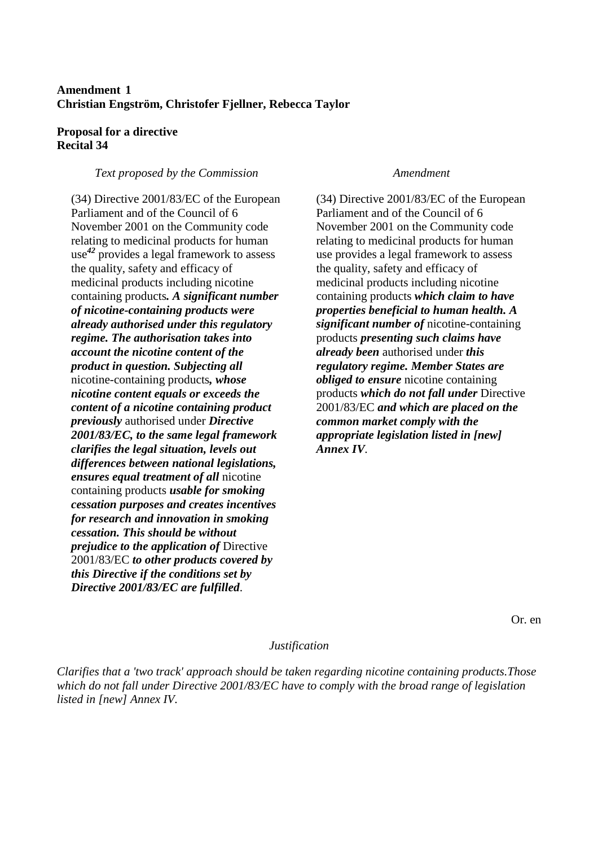# **Amendment 1 Christian Engström, Christofer Fjellner, Rebecca Taylor**

### **Proposal for a directive Recital 34**

### *Text proposed by the Commission Amendment*

(34) Directive 2001/83/EC of the European Parliament and of the Council of 6 November 2001 on the Community code relating to medicinal products for human use *<sup>42</sup>* provides a legal framework to assess the quality, safety and efficacy of medicinal products including nicotine containing products*. A significant number of nicotine-containing products were already authorised under this regulatory regime. The authorisation takes into account the nicotine content of the product in question. Subjecting all* nicotine-containing products*, whose nicotine content equals or exceeds the content of a nicotine containing product previously* authorised under *Directive 2001/83/EC, to the same legal framework clarifies the legal situation, levels out differences between national legislations, ensures equal treatment of all* nicotine containing products *usable for smoking cessation purposes and creates incentives for research and innovation in smoking cessation. This should be without prejudice to the application of* Directive 2001/83/EC *to other products covered by this Directive if the conditions set by Directive 2001/83/EC are fulfilled*.

(34) Directive 2001/83/EC of the European Parliament and of the Council of 6 November 2001 on the Community code relating to medicinal products for human use provides a legal framework to assess the quality, safety and efficacy of medicinal products including nicotine containing products *which claim to have properties beneficial to human health. A significant number of* nicotine-containing products *presenting such claims have already been* authorised under *this regulatory regime. Member States are obliged to ensure* nicotine containing products *which do not fall under* Directive 2001/83/EC *and which are placed on the common market comply with the appropriate legislation listed in [new] Annex IV*.

Or. en

#### *Justification*

*Clarifies that a 'two track' approach should be taken regarding nicotine containing products.Those which do not fall under Directive 2001/83/EC have to comply with the broad range of legislation listed in [new] Annex IV.*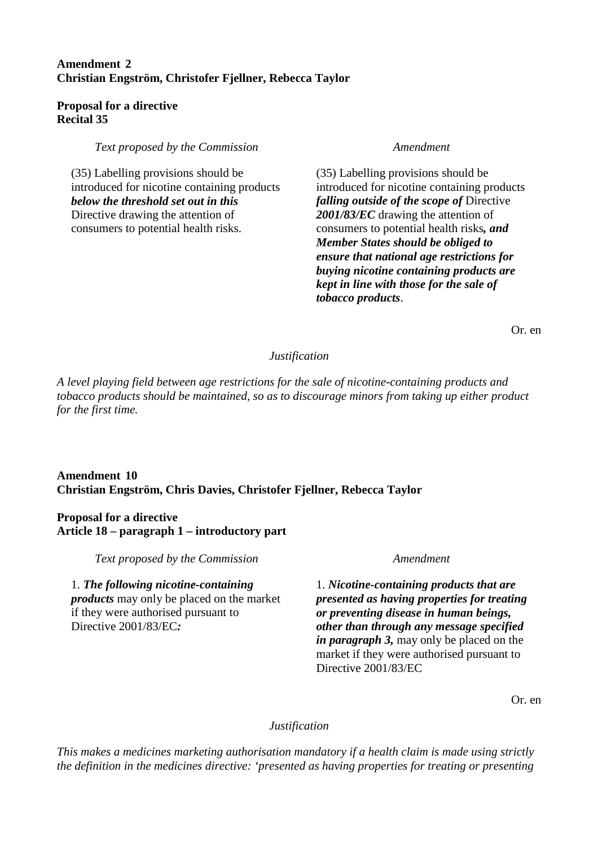# **Amendment 2 Christian Engström, Christofer Fjellner, Rebecca Taylor**

## **Proposal for a directive Recital 35**

*Text proposed by the Commission* **Amendment** *Amendment* 

(35) Labelling provisions should be introduced for nicotine containing products *below the threshold set out in this* Directive drawing the attention of consumers to potential health risks.

(35) Labelling provisions should be introduced for nicotine containing products *falling outside of the scope of* Directive *2001/83/EC* drawing the attention of consumers to potential health risks*, and Member States should be obliged to ensure that national age restrictions for buying nicotine containing products are kept in line with those for the sale of tobacco products*.

Or. en

# *Justification*

*A level playing field between age restrictions for the sale of nicotine-containing products and tobacco products should be maintained, so as to discourage minors from taking up either product for the first time.* 

# **Amendment 10 Christian Engström, Chris Davies, Christofer Fjellner, Rebecca Taylor**

# **Proposal for a directive Article 18 – paragraph 1 – introductory part**

*Text proposed by the Commission* **Amendment** *Amendment* 

1. *The following nicotine-containing products* may only be placed on the market if they were authorised pursuant to Directive 2001/83/EC*:*

1. *Nicotine-containing products that are presented as having properties for treating or preventing disease in human beings, other than through any message specified in paragraph 3,* may only be placed on the market if they were authorised pursuant to Directive 2001/83/EC

Or. en

# *Justification*

*This makes a medicines marketing authorisation mandatory if a health claim is made using strictly the definition in the medicines directive: 'presented as having properties for treating or presenting*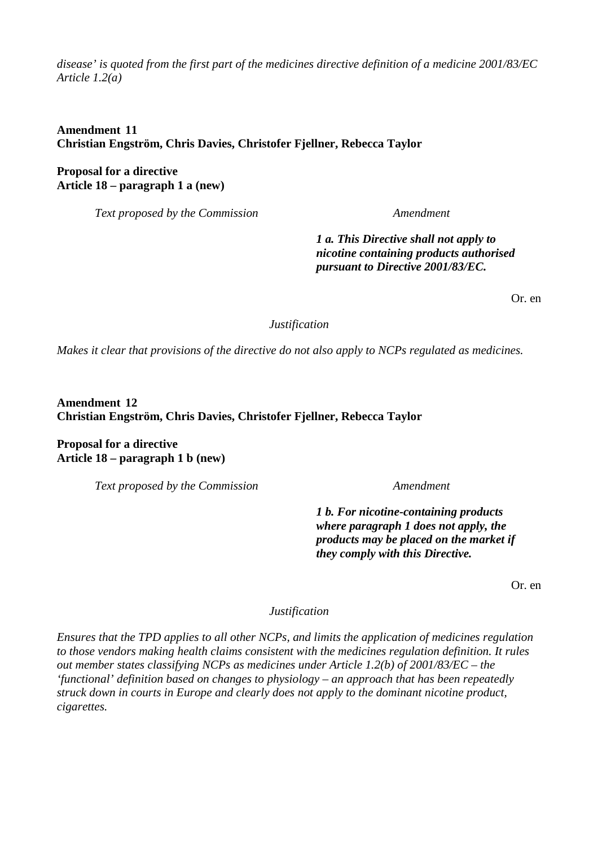*disease' is quoted from the first part of the medicines directive definition of a medicine 2001/83/EC Article 1.2(a)* 

# **Amendment 11 Christian Engström, Chris Davies, Christofer Fjellner, Rebecca Taylor**

**Proposal for a directive Article 18 – paragraph 1 a (new)** 

*Text proposed by the Commission Amendment* 

*1 a. This Directive shall not apply to nicotine containing products authorised pursuant to Directive 2001/83/EC.*

Or. en

*Justification* 

*Makes it clear that provisions of the directive do not also apply to NCPs regulated as medicines.* 

**Amendment 12 Christian Engström, Chris Davies, Christofer Fjellner, Rebecca Taylor** 

**Proposal for a directive Article 18 – paragraph 1 b (new)** 

*Text proposed by the Commission* **Amendment** *Amendment* 

*1 b. For nicotine-containing products where paragraph 1 does not apply, the products may be placed on the market if they comply with this Directive.*

Or. en

*Justification* 

*Ensures that the TPD applies to all other NCPs, and limits the application of medicines regulation to those vendors making health claims consistent with the medicines regulation definition. It rules out member states classifying NCPs as medicines under Article 1.2(b) of 2001/83/EC – the 'functional' definition based on changes to physiology – an approach that has been repeatedly struck down in courts in Europe and clearly does not apply to the dominant nicotine product, cigarettes.*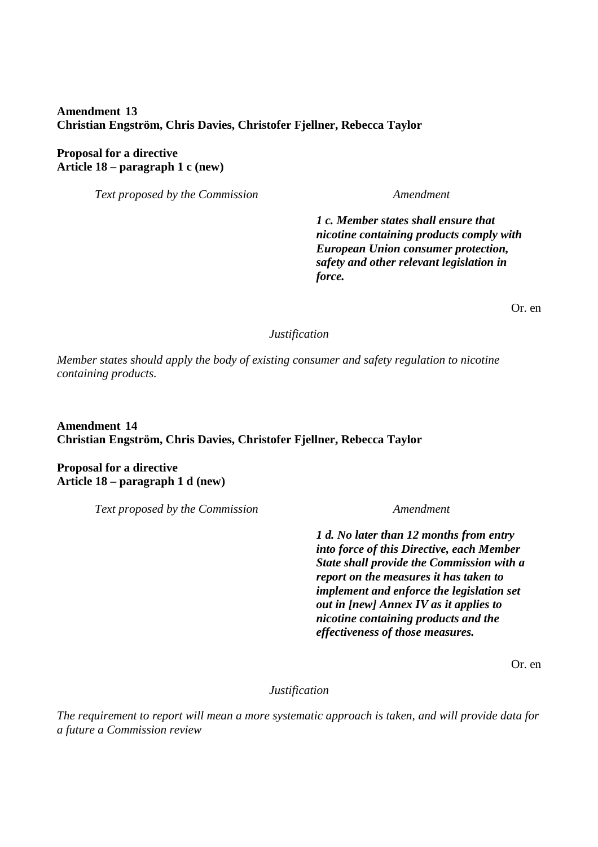# **Amendment 13 Christian Engström, Chris Davies, Christofer Fjellner, Rebecca Taylor**

**Proposal for a directive Article 18 – paragraph 1 c (new)** 

*Text proposed by the Commission* **Amendment** *Amendment* 

*1 c. Member states shall ensure that nicotine containing products comply with European Union consumer protection, safety and other relevant legislation in force.*

Or. en

#### *Justification*

*Member states should apply the body of existing consumer and safety regulation to nicotine containing products.* 

**Amendment 14 Christian Engström, Chris Davies, Christofer Fjellner, Rebecca Taylor** 

**Proposal for a directive Article 18 – paragraph 1 d (new)** 

*Text proposed by the Commission Amendment* 

*1 d. No later than 12 months from entry into force of this Directive, each Member State shall provide the Commission with a report on the measures it has taken to implement and enforce the legislation set out in [new] Annex IV as it applies to nicotine containing products and the effectiveness of those measures.*

Or. en

### *Justification*

*The requirement to report will mean a more systematic approach is taken, and will provide data for a future a Commission review*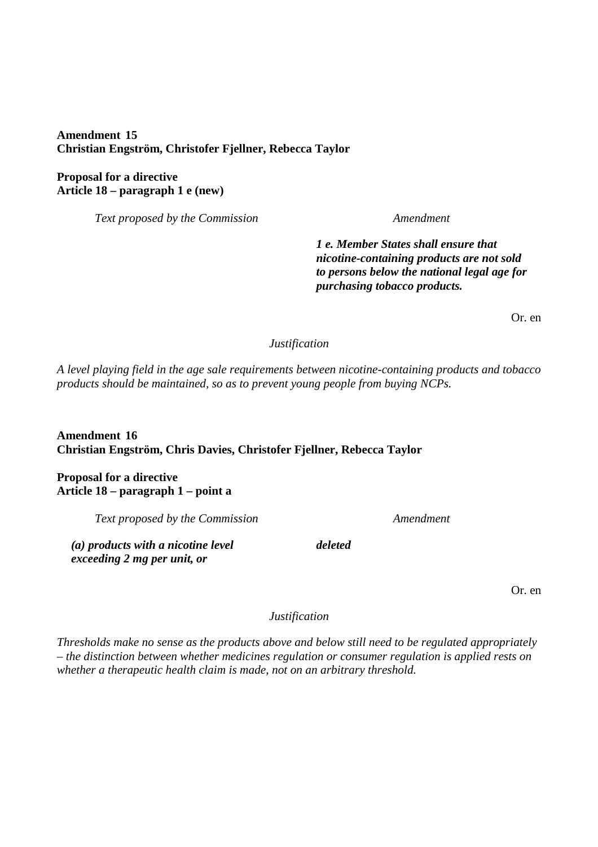**Amendment 15 Christian Engström, Christofer Fjellner, Rebecca Taylor** 

**Proposal for a directive Article 18 – paragraph 1 e (new)** 

*Text proposed by the Commission* **Amendment** 

*1 e. Member States shall ensure that nicotine-containing products are not sold to persons below the national legal age for purchasing tobacco products.*

Or. en

*Justification* 

*A level playing field in the age sale requirements between nicotine-containing products and tobacco products should be maintained, so as to prevent young people from buying NCPs.* 

**Amendment 16 Christian Engström, Chris Davies, Christofer Fjellner, Rebecca Taylor** 

**Proposal for a directive Article 18 – paragraph 1 – point a** 

*Text proposed by the Commission* **Amendment** 

*(a) products with a nicotine level exceeding 2 mg per unit, or*

*deleted*

Or. en

*Justification* 

*Thresholds make no sense as the products above and below still need to be regulated appropriately – the distinction between whether medicines regulation or consumer regulation is applied rests on whether a therapeutic health claim is made, not on an arbitrary threshold.*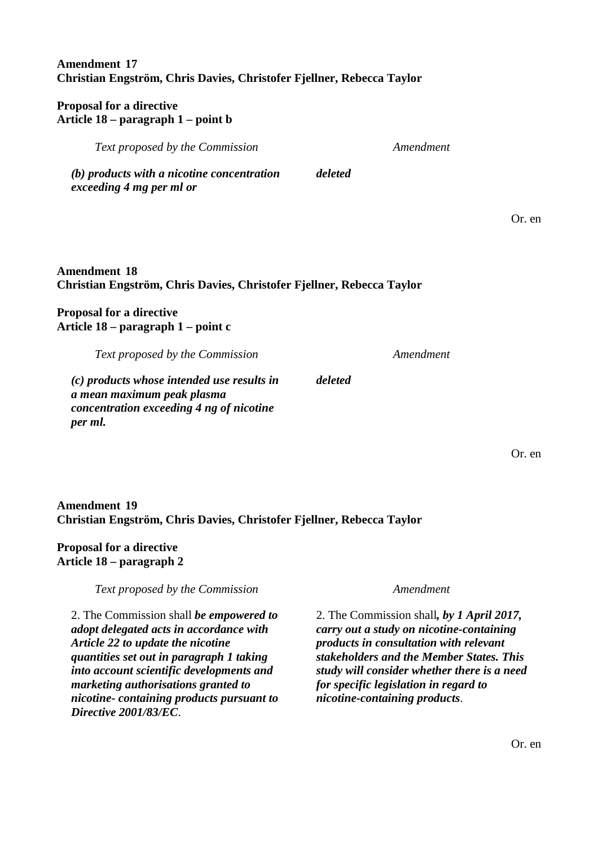# **Amendment 17 Christian Engström, Chris Davies, Christofer Fjellner, Rebecca Taylor**

# **Proposal for a directive Article 18 – paragraph 1 – point b**

*(b) products with a nicotine concentration exceeding 4 mg per ml or deleted*

# **Amendment 18 Christian Engström, Chris Davies, Christofer Fjellner, Rebecca Taylor**

# **Proposal for a directive Article 18 – paragraph 1 – point c**

*Text proposed by the Commission Amendment* 

*(c) products whose intended use results in a mean maximum peak plasma concentration exceeding 4 ng of nicotine per ml.*

# **Amendment 19 Christian Engström, Chris Davies, Christofer Fjellner, Rebecca Taylor**

# **Proposal for a directive Article 18 – paragraph 2**

*Text proposed by the Commission* **Amendment** *Amendment* 

2. The Commission shall *be empowered to adopt delegated acts in accordance with Article 22 to update the nicotine quantities set out in paragraph 1 taking into account scientific developments and marketing authorisations granted to nicotine- containing products pursuant to Directive 2001/83/EC*.

2. The Commission shall*, by 1 April 2017, carry out a study on nicotine-containing products in consultation with relevant stakeholders and the Member States. This study will consider whether there is a need for specific legislation in regard to nicotine-containing products*.

Or. en

Or. en

*Text proposed by the Commission* **Amendment** 

*deleted*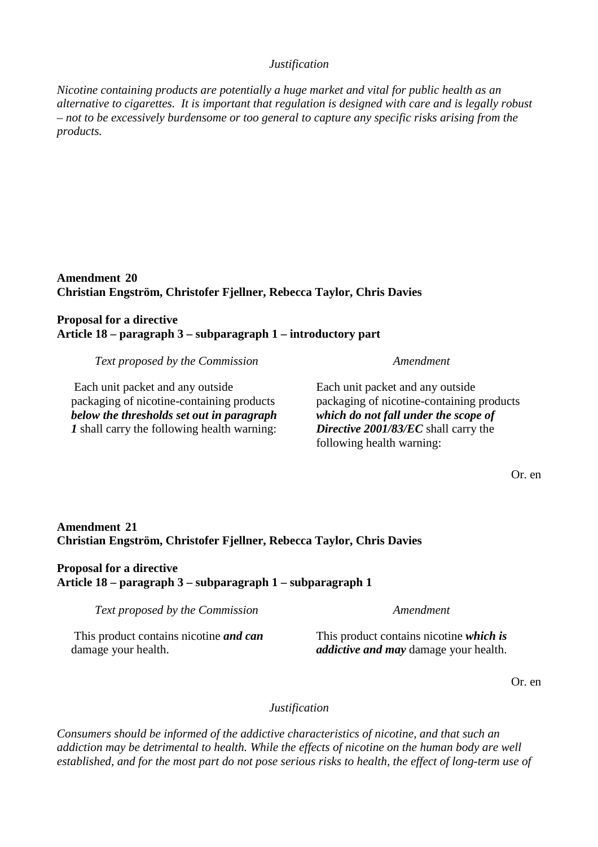### *Justification*

*Nicotine containing products are potentially a huge market and vital for public health as an alternative to cigarettes. It is important that regulation is designed with care and is legally robust – not to be excessively burdensome or too general to capture any specific risks arising from the products.* 

**Amendment 20 Christian Engström, Christofer Fjellner, Rebecca Taylor, Chris Davies** 

# **Proposal for a directive Article 18 – paragraph 3 – subparagraph 1 – introductory part**

*Text proposed by the Commission Amendment* 

 Each unit packet and any outside packaging of nicotine-containing products *below the thresholds set out in paragraph 1* shall carry the following health warning:

Each unit packet and any outside packaging of nicotine-containing products *which do not fall under the scope of Directive 2001/83/EC* shall carry the following health warning:

Or. en

# **Amendment 21 Christian Engström, Christofer Fjellner, Rebecca Taylor, Chris Davies**

# **Proposal for a directive Article 18 – paragraph 3 – subparagraph 1 – subparagraph 1**

*Text proposed by the Commission* **Amendment** *Amendment* 

 This product contains nicotine *and can* damage your health.

This product contains nicotine *which is addictive and may* damage your health.

Or. en

# *Justification*

*Consumers should be informed of the addictive characteristics of nicotine, and that such an addiction may be detrimental to health. While the effects of nicotine on the human body are well established, and for the most part do not pose serious risks to health, the effect of long-term use of*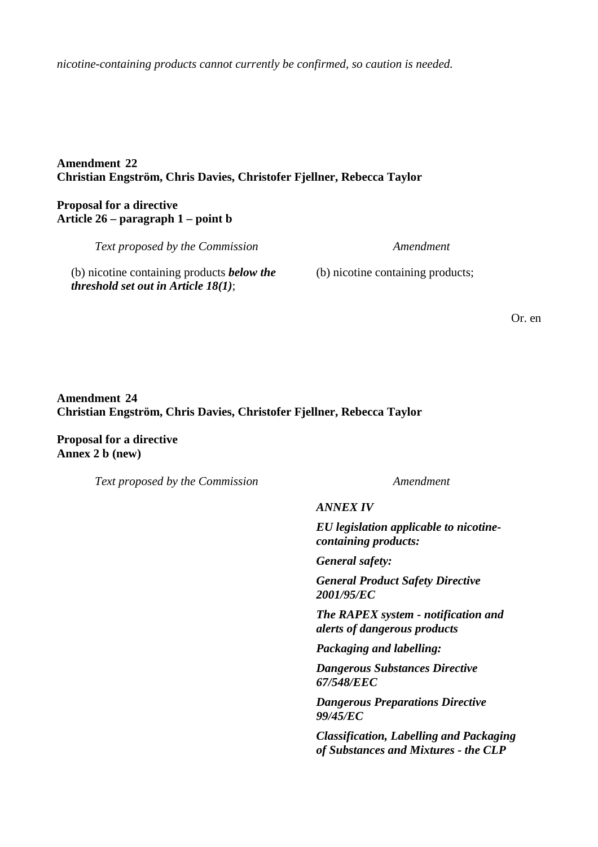*nicotine-containing products cannot currently be confirmed, so caution is needed.* 

## **Amendment 22 Christian Engström, Chris Davies, Christofer Fjellner, Rebecca Taylor**

# **Proposal for a directive Article 26 – paragraph 1 – point b**

*Text proposed by the Commission Amendment* 

(b) nicotine containing products *below the threshold set out in Article 18(1)*;

(b) nicotine containing products;

Or. en

# **Amendment 24 Christian Engström, Chris Davies, Christofer Fjellner, Rebecca Taylor**

**Proposal for a directive Annex 2 b (new)** 

*Text proposed by the Commission* **Amendment** *Amendment* 

*ANNEX IV*

*EU legislation applicable to nicotinecontaining products:*

*General safety:*

*General Product Safety Directive 2001/95/EC*

*The RAPEX system - notification and alerts of dangerous products*

*Packaging and labelling:*

*Dangerous Substances Directive 67/548/EEC*

*Dangerous Preparations Directive 99/45/EC*

*Classification, Labelling and Packaging of Substances and Mixtures - the CLP*